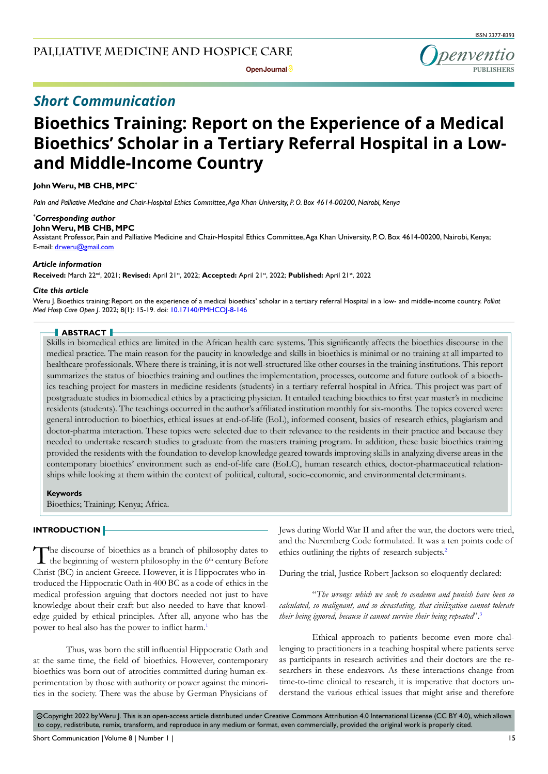penventio **PUBLISHERS**

**Open Journal**

# *Short Communication*

# **Bioethics Training: Report on the Experience of a Medical Bioethics' Scholar in a Tertiary Referral Hospital in a Lowand Middle-Income Country**

**John Weru, MB CHB, MPC\***

*Pain and Palliative Medicine and Chair-Hospital Ethics Committee, Aga Khan University, P. O. Box 4614-00200, Nairobi, Kenya*

### *\* Corresponding author*

#### **John Weru, MB CHB, MPC**

Assistant Professor, Pain and Palliative Medicine and Chair-Hospital Ethics Committee, Aga Khan University, P. O. Box 4614-00200, Nairobi, Kenya; E-mail: drweru@gmail.com

#### *Article information*

**Received:** March 22nd, 2021; **Revised:** April 21st, 2022; **Accepted:** April 21st, 2022; **Published:** April 21st, 2022

#### *Cite this article*

Weru J. Bioethics training: Report on the experience of a medical bioethics' scholar in a tertiary referral Hospital in a low- and middle-income country. *Palliat Med Hosp Care Open J*. 2022; 8(1): 15-19. doi: [10.17140/PMHCOJ-8-146](http://dx.doi.org/10.17140/PMHCOJ-8-146)

# **ABSTRACT**

Skills in biomedical ethics are limited in the African health care systems. This significantly affects the bioethics discourse in the medical practice. The main reason for the paucity in knowledge and skills in bioethics is minimal or no training at all imparted to healthcare professionals. Where there is training, it is not well-structured like other courses in the training institutions. This report summarizes the status of bioethics training and outlines the implementation, processes, outcome and future outlook of a bioethics teaching project for masters in medicine residents (students) in a tertiary referral hospital in Africa. This project was part of postgraduate studies in biomedical ethics by a practicing physician. It entailed teaching bioethics to first year master's in medicine residents (students). The teachings occurred in the author's affiliated institution monthly for six-months. The topics covered were: general introduction to bioethics, ethical issues at end-of-life (EoL), informed consent, basics of research ethics, plagiarism and doctor-pharma interaction. These topics were selected due to their relevance to the residents in their practice and because they needed to undertake research studies to graduate from the masters training program. In addition, these basic bioethics training provided the residents with the foundation to develop knowledge geared towards improving skills in analyzing diverse areas in the contemporary bioethics' environment such as end-of-life care (EoLC), human research ethics, doctor-pharmaceutical relationships while looking at them within the context of political, cultural, socio-economic, and environmental determinants.

#### **Keywords**

Bioethics; Training; Kenya; Africa.

# **INTRODUCTION**

The discourse of bioethics as a branch of philosophy dates to the beginning of western philosophy in the  $6<sup>th</sup>$  century Before Christ (BC) in ancient Greece. However, it is Hippocrates who introduced the Hippocratic Oath in 400 BC as a code of ethics in the medical profession arguing that doctors needed not just to have knowledge about their craft but also needed to have that knowledge guided by ethical principles. After all, anyone who has the power to heal also has the power to inflict harm.<sup>[1](#page-3-0)</sup>

Thus, was born the still influential Hippocratic Oath and at the same time, the field of bioethics. However, contemporary bioethics was born out of atrocities committed during human experimentation by those with authority or power against the minorities in the society. There was the abuse by German Physicians of

Jews during World War II and after the war, the doctors were tried, and the Nuremberg Code formulated. It was a ten points code of ethics outlining the rights of research subjects.<sup>2</sup>

During the trial, Justice Robert Jackson so eloquently declared:

"*The wrongs which we seek to condemn and punish have been so calculated, so malignant, and so devastating, that civilization cannot tolerate their being ignored, because it cannot survive their being repeated*"[.3](#page-3-2)

Ethical approach to patients become even more challenging to practitioners in a teaching hospital where patients serve as participants in research activities and their doctors are the researchers in these endeavors. As these interactions change from time-to-time clinical to research, it is imperative that doctors understand the various ethical issues that might arise and therefore

 $\circledcirc$ Copyright 2022 by Weru J. This is an open-access article distributed under Creative Commons Attribution 4.0 International License [\(CC BY 4.0\)](https://creativecommons.org/licenses/by/4.0/), which allows to copy, redistribute, remix, transform, and reproduce in any medium or format, even commercially, provided the original work is properly cited.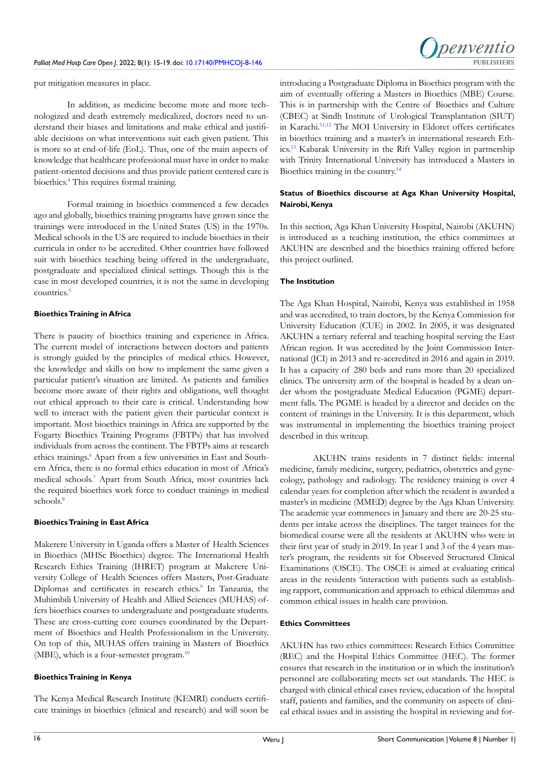

put mitigation measures in place.

In addition, as medicine become more and more technologized and death extremely medicalized, doctors need to understand their biases and limitations and make ethical and justifiable decisions on what interventions suit each given patient. This is more so at end-of-life (EoL). Thus, one of the main aspects of knowledge that healthcare professional must have in order to make patient-oriented decisions and thus provide patient centered care is bioethics.[4](#page-3-3) This requires formal training.

Formal training in bioethics commenced a few decades ago and globally, bioethics training programs have grown since the trainings were introduced in the United States (US) in the 1970s. Medical schools in the US are required to include bioethics in their curricula in order to be accredited. Other countries have followed suit with bioethics teaching being offered in the undergraduate, postgraduate and specialized clinical settings. Though this is the case in most developed countries, it is not the same in developing countries[.5](#page-3-4)

# **Bioethics Training in Africa**

There is paucity of bioethics training and experience in Africa. The current model of interactions between doctors and patients is strongly guided by the principles of medical ethics. However, the knowledge and skills on how to implement the same given a particular patient's situation are limited. As patients and families become more aware of their rights and obligations, well thought out ethical approach to their care is critical. Understanding how well to interact with the patient given their particular context is important. Most bioethics trainings in Africa are supported by the Fogarty Bioethics Training Programs (FBTPs) that has involved individuals from across the continent. The FBTPs aims at research ethics trainings.<sup>6</sup> Apart from a few universities in East and Southern Africa, there is no formal ethics education in most of Africa's medical schools[.7](#page-3-6) Apart from South Africa, most countries lack the required bioethics work force to conduct trainings in medical schools.<sup>[8](#page-4-0)</sup>

# **Bioethics Training in East Africa**

Makerere University in Uganda offers a Master of Health Sciences in Bioethics (MHSc Bioethics) degree. The International Health Research Ethics Training (IHRET) program at Makerere University College of Health Sciences offers Masters, Post-Graduate Diplomas and certificates in research ethics.<sup>[9](#page-4-1)</sup> In Tanzania, the Muhimbili University of Health and Allied Sciences (MUHAS) offers bioethics courses to undergraduate and postgraduate students. These are cross-cutting core courses coordinated by the Department of Bioethics and Health Professionalism in the University. On top of this, MUHAS offers training in Masters of Bioethics (MBE), which is a four-semester program.<sup>[10](#page-4-2)</sup>

# **Bioethics Training in Kenya**

The Kenya Medical Research Institute (KEMRI) conducts certificate trainings in bioethics (clinical and research) and will soon be introducing a Postgraduate Diploma in Bioethics program with the aim of eventually offering a Masters in Bioethics (MBE) Course. This is in partnership with the Centre of Bioethics and Culture (CBEC) at Sindh Institute of Urological Transplantation (SIUT) in Karachi.[11,12](#page-4-3) The MOI University in Eldoret offers certificates in bioethics training and a master's in international research Ethics[.13](#page-4-4) Kabarak University in the Rift Valley region in partnership with Trinity International University has introduced a Masters in Bioethics training in the country.<sup>14</sup>

# **Status of Bioethics discourse at Aga Khan University Hospital, Nairobi, Kenya**

In this section, Aga Khan University Hospital, Nairobi (AKUHN) is introduced as a teaching institution, the ethics committees at AKUHN are described and the bioethics training offered before this project outlined.

# **The Institution**

The Aga Khan Hospital, Nairobi, Kenya was established in 1958 and was accredited, to train doctors, by the Kenya Commission for University Education (CUE) in 2002. In 2005, it was designated AKUHN a tertiary referral and teaching hospital serving the East African region. It was accredited by the Joint Commission International (JCI) in 2013 and re-accredited in 2016 and again in 2019. It has a capacity of 280 beds and runs more than 20 specialized clinics. The university arm of the hospital is headed by a dean under whom the postgraduate Medical Education (PGME) department falls. The PGME is headed by a director and decides on the content of trainings in the University. It is this department, which was instrumental in implementing the bioethics training project described in this writeup.

AKUHN trains residents in 7 distinct fields: internal medicine, family medicine, surgery, pediatrics, obstetrics and gynecology, pathology and radiology. The residency training is over 4 calendar years for completion after which the resident is awarded a master's in medicine (MMED) degree by the Aga Khan University. The academic year commences in January and there are 20-25 students per intake across the disciplines. The target trainees for the biomedical course were all the residents at AKUHN who were in their first year of study in 2019. In year 1 and 3 of the 4 years master's program, the residents sit for Observed Structured Clinical Examinations (OSCE). The OSCE is aimed at evaluating critical areas in the residents 'interaction with patients such as establishing rapport, communication and approach to ethical dilemmas and common ethical issues in health care provision.

# **Ethics Committees**

AKUHN has two ethics committees: Research Ethics Committee (REC) and the Hospital Ethics Committee (HEC). The former ensures that research in the institution or in which the institution's personnel are collaborating meets set out standards. The HEC is charged with clinical ethical cases review, education of the hospital staff, patients and families, and the community on aspects of clinical ethical issues and in assisting the hospital in reviewing and for-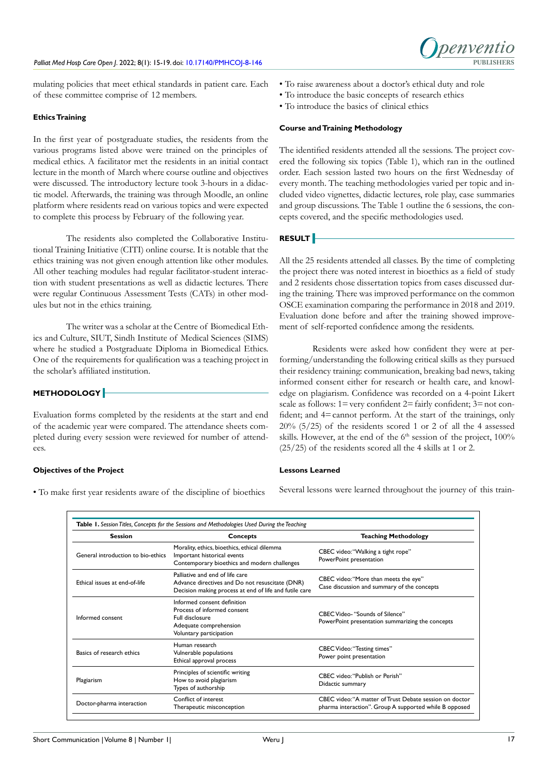

mulating policies that meet ethical standards in patient care. Each of these committee comprise of 12 members.

### **Ethics Training**

In the first year of postgraduate studies, the residents from the various programs listed above were trained on the principles of medical ethics. A facilitator met the residents in an initial contact lecture in the month of March where course outline and objectives were discussed. The introductory lecture took 3-hours in a didactic model. Afterwards, the training was through Moodle, an online platform where residents read on various topics and were expected to complete this process by February of the following year.

The residents also completed the Collaborative Institutional Training Initiative (CITI) online course. It is notable that the ethics training was not given enough attention like other modules. All other teaching modules had regular facilitator-student interaction with student presentations as well as didactic lectures. There were regular Continuous Assessment Tests (CATs) in other modules but not in the ethics training.

The writer was a scholar at the Centre of Biomedical Ethics and Culture, SIUT, Sindh Institute of Medical Sciences (SIMS) where he studied a Postgraduate Diploma in Biomedical Ethics. One of the requirements for qualification was a teaching project in the scholar's affiliated institution.

# **METHODOLOGY**

Evaluation forms completed by the residents at the start and end of the academic year were compared. The attendance sheets completed during every session were reviewed for number of attendees.

### **Objectives of the Project**

• To make first year residents aware of the discipline of bioethics

- To raise awareness about a doctor's ethical duty and role
- To introduce the basic concepts of research ethics
- To introduce the basics of clinical ethics

#### **Course and Training Methodology**

The identified residents attended all the sessions. The project covered the following six topics (Table 1), which ran in the outlined order. Each session lasted two hours on the first Wednesday of every month. The teaching methodologies varied per topic and included video vignettes, didactic lectures, role play, case summaries and group discussions. The Table 1 outline the 6 sessions, the concepts covered, and the specific methodologies used.

# **RESULT**

All the 25 residents attended all classes. By the time of completing the project there was noted interest in bioethics as a field of study and 2 residents chose dissertation topics from cases discussed during the training. There was improved performance on the common OSCE examination comparing the performance in 2018 and 2019. Evaluation done before and after the training showed improvement of self-reported confidence among the residents.

Residents were asked how confident they were at performing/understanding the following critical skills as they pursued their residency training: communication, breaking bad news, taking informed consent either for research or health care, and knowledge on plagiarism. Confidence was recorded on a 4-point Likert scale as follows:  $1 = \text{very confident} 2 = \text{fairly confident}; 3 = \text{not con-}$ fident; and  $4=$ cannot perform. At the start of the trainings, only 20% (5/25) of the residents scored 1 or 2 of all the 4 assessed skills. However, at the end of the 6<sup>th</sup> session of the project, 100% (25/25) of the residents scored all the 4 skills at 1 or 2.

### **Lessons Learned**

Several lessons were learned throughout the journey of this train-

| Session                            | Concepts                                                                                                                                     | <b>Teaching Methodology</b>                                                                                       |
|------------------------------------|----------------------------------------------------------------------------------------------------------------------------------------------|-------------------------------------------------------------------------------------------------------------------|
| General introduction to bio-ethics | Morality, ethics, bioethics, ethical dilemma<br>Important historical events<br>Contemporary bioethics and modern challenges                  | CBEC video: "Walking a tight rope"<br>PowerPoint presentation                                                     |
| Ethical issues at end-of-life      | Palliative and end of life care<br>Advance directives and Do not resuscitate (DNR)<br>Decision making process at end of life and futile care | CBEC video: "More than meets the eye"<br>Case discussion and summary of the concepts                              |
| Informed consent                   | Informed consent definition<br>Process of informed consent<br>Full disclosure<br>Adequate comprehension<br>Voluntary participation           | CBEC Video- "Sounds of Silence"<br>PowerPoint presentation summarizing the concepts                               |
| Basics of research ethics          | Human research<br>Vulnerable populations<br>Ethical approval process                                                                         | <b>CBEC Video: "Testing times"</b><br>Power point presentation                                                    |
| Plagiarism                         | Principles of scientific writing<br>How to avoid plagiarism<br>Types of authorship                                                           | CBEC video: "Publish or Perish"<br>Didactic summary                                                               |
| Doctor-pharma interaction          | Conflict of interest<br>Therapeutic misconception                                                                                            | CBEC video: "A matter of Trust Debate session on doctor<br>pharma interaction". Group A supported while B opposed |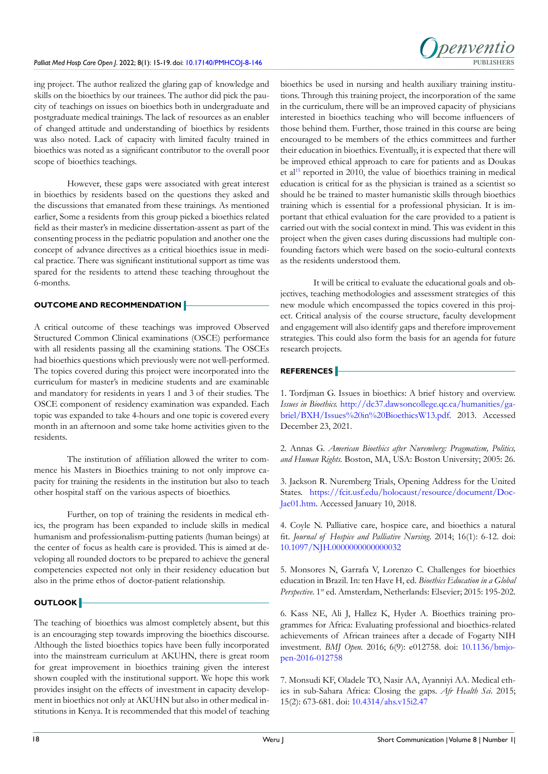#### Palliat Med Hosp Care Open J. 2022; 8(1): 15-19. doi: [10.17140/PMHCOJ-8-146](http://dx.doi.org/10.17140/PMHCOJ-8-146)



ing project. The author realized the glaring gap of knowledge and skills on the bioethics by our trainees. The author did pick the paucity of teachings on issues on bioethics both in undergraduate and postgraduate medical trainings. The lack of resources as an enabler of changed attitude and understanding of bioethics by residents was also noted. Lack of capacity with limited faculty trained in bioethics was noted as a significant contributor to the overall poor scope of bioethics teachings.

However, these gaps were associated with great interest in bioethics by residents based on the questions they asked and the discussions that emanated from these trainings. As mentioned earlier, Some a residents from this group picked a bioethics related field as their master's in medicine dissertation-assent as part of the consenting process in the pediatric population and another one the concept of advance directives as a critical bioethics issue in medical practice. There was significant institutional support as time was spared for the residents to attend these teaching throughout the 6-months.

# **OUTCOME AND RECOMMENDATION**

A critical outcome of these teachings was improved Observed Structured Common Clinical examinations (OSCE) performance with all residents passing all the examining stations. The OSCEs had bioethics questions which previously were not well-performed. The topics covered during this project were incorporated into the curriculum for master's in medicine students and are examinable and mandatory for residents in years 1 and 3 of their studies. The OSCE component of residency examination was expanded. Each topic was expanded to take 4-hours and one topic is covered every month in an afternoon and some take home activities given to the residents.

The institution of affiliation allowed the writer to commence his Masters in Bioethics training to not only improve capacity for training the residents in the institution but also to teach other hospital staff on the various aspects of bioethics.

Further, on top of training the residents in medical ethics, the program has been expanded to include skills in medical humanism and professionalism-putting patients (human beings) at the center of focus as health care is provided. This is aimed at developing all rounded doctors to be prepared to achieve the general competencies expected not only in their residency education but also in the prime ethos of doctor-patient relationship.

### **OUTLOOK**

The teaching of bioethics was almost completely absent, but this is an encouraging step towards improving the bioethics discourse. Although the listed bioethics topics have been fully incorporated into the mainstream curriculum at AKUHN, there is great room for great improvement in bioethics training given the interest shown coupled with the institutional support. We hope this work provides insight on the effects of investment in capacity development in bioethics not only at AKUHN but also in other medical institutions in Kenya. It is recommended that this model of teaching bioethics be used in nursing and health auxiliary training institutions. Through this training project, the incorporation of the same in the curriculum, there will be an improved capacity of physicians interested in bioethics teaching who will become influencers of those behind them. Further, those trained in this course are being encouraged to be members of the ethics committees and further their education in bioethics. Eventually, it is expected that there will be improved ethical approach to care for patients and as Doukas et al<sup>[15](#page-3-0)</sup> reported in 2010, the value of bioethics training in medical education is critical for as the physician is trained as a scientist so should he be trained to master humanistic skills through bioethics training which is essential for a professional physician. It is important that ethical evaluation for the care provided to a patient is carried out with the social context in mind. This was evident in this project when the given cases during discussions had multiple confounding factors which were based on the socio-cultural contexts as the residents understood them.

It will be critical to evaluate the educational goals and objectives, teaching methodologies and assessment strategies of this new module which encompassed the topics covered in this project. Critical analysis of the course structure, faculty development and engagement will also identify gaps and therefore improvement strategies. This could also form the basis for an agenda for future research projects.

# **REFERENCES**

<span id="page-3-0"></span>1. Tordjman G. Issues in bioethics: A brief history and overview. *Issues in Bioethics.* [http://dc37.dawsoncollege.qc.ca/humanities/ga](http://dc37.dawsoncollege.qc.ca/humanities/gabriel/BXH/Issues%20in%20BioethicsW13.pdf)[briel/BXH/Issues%20in%20BioethicsW13.pdf](http://dc37.dawsoncollege.qc.ca/humanities/gabriel/BXH/Issues%20in%20BioethicsW13.pdf). 2013. Accessed December 23, 2021.

<span id="page-3-1"></span>2. Annas G. *American Bioethics after Nuremberg: Pragmatism, Politics, and Human Rights.* Boston, MA, USA: Boston University; 2005: 26.

<span id="page-3-2"></span>3. Jackson R. Nuremberg Trials, Opening Address for the United States. [https://fcit.usf.edu/holocaust/resource/document/Doc-](https://fcit.usf.edu/holocaust/resource/document/DocJac01.htm)[Jac01.htm](https://fcit.usf.edu/holocaust/resource/document/DocJac01.htm). Accessed January 10, 2018.

<span id="page-3-3"></span>4. Coyle N. Palliative care, hospice care, and bioethics a natural fit. *Journal of Hospice and Palliative Nursing.* 2014; 16(1): 6-12. doi: [10.1097/NJH.0000000000000032](http://doi.org/10.1097/NJH.0000000000000032)

<span id="page-3-4"></span>5. Monsores N, Garrafa V, Lorenzo C. Challenges for bioethics education in Brazil. In: ten Have H, ed. *Bioethics Education in a Global Perspective.* 1st ed. Amsterdam, Netherlands: Elsevier; 2015: 195-202.

<span id="page-3-5"></span>6. Kass NE, Ali J, Hallez K, Hyder A. Bioethics training programmes for Africa: Evaluating professional and bioethics-related achievements of African trainees after a decade of Fogarty NIH investment. *BMJ Open.* 2016; 6(9): e012758. doi: [10.1136/bmjo](http://doi.org/10.1136/bmjopen-2016-012758)[pen-2016-012758](http://doi.org/10.1136/bmjopen-2016-012758)

<span id="page-3-6"></span>7. Monsudi KF, Oladele TO, Nasir AA, Ayanniyi AA. Medical ethics in sub-Sahara Africa: Closing the gaps. *Afr Health Sci*. 2015; 15(2): 673-681. doi: [10.4314/ahs.v15i2.47](http://doi.org/10.4314/ahs.v15i2.47)